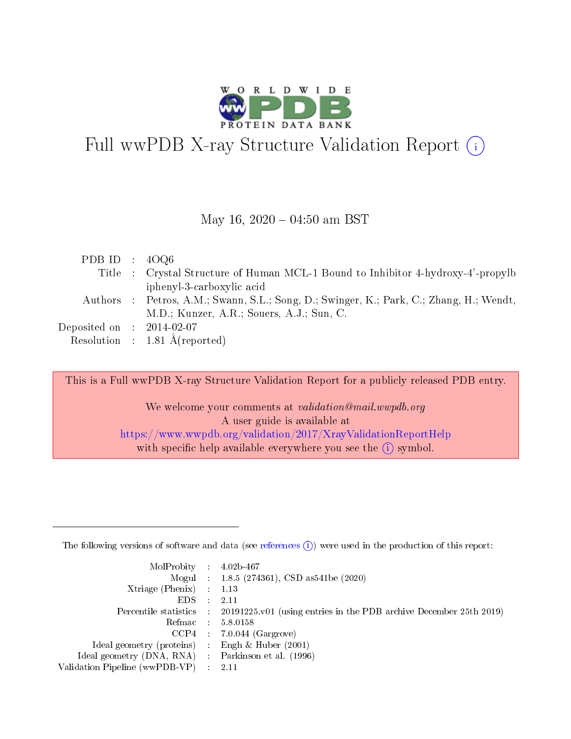

# Full wwPDB X-ray Structure Validation Report (i)

#### May 16,  $2020 - 04:50$  am BST

| PDB ID : $40Q6$             |                                                                                         |
|-----------------------------|-----------------------------------------------------------------------------------------|
|                             | Title : Crystal Structure of Human MCL-1 Bound to Inhibitor 4-hydroxy-4'-propylb        |
|                             | iphenyl-3-carboxylic acid                                                               |
|                             | Authors : Petros, A.M.; Swann, S.L.; Song, D.; Swinger, K.; Park, C.; Zhang, H.; Wendt, |
|                             | M.D.; Kunzer, A.R.; Souers, A.J.; Sun, C.                                               |
| Deposited on : $2014-02-07$ |                                                                                         |
|                             | Resolution : $1.81 \text{ Å}$ (reported)                                                |

This is a Full wwPDB X-ray Structure Validation Report for a publicly released PDB entry.

We welcome your comments at validation@mail.wwpdb.org A user guide is available at <https://www.wwpdb.org/validation/2017/XrayValidationReportHelp> with specific help available everywhere you see the  $(i)$  symbol.

The following versions of software and data (see [references](https://www.wwpdb.org/validation/2017/XrayValidationReportHelp#references)  $(1)$ ) were used in the production of this report:

| $MolProbability$ : 4.02b-467                       |               |                                                                                            |
|----------------------------------------------------|---------------|--------------------------------------------------------------------------------------------|
|                                                    |               | Mogul : $1.8.5$ (274361), CSD as 541be (2020)                                              |
| Xtriage (Phenix) $: 1.13$                          |               |                                                                                            |
| EDS.                                               | $\mathcal{L}$ | -2.11                                                                                      |
|                                                    |               | Percentile statistics : 20191225.v01 (using entries in the PDB archive December 25th 2019) |
|                                                    |               | Refmac : 5.8.0158                                                                          |
|                                                    |               | $CCP4$ 7.0.044 (Gargrove)                                                                  |
| Ideal geometry (proteins) : Engh $\&$ Huber (2001) |               |                                                                                            |
| Ideal geometry (DNA, RNA) Parkinson et al. (1996)  |               |                                                                                            |
| Validation Pipeline (wwPDB-VP) : 2.11              |               |                                                                                            |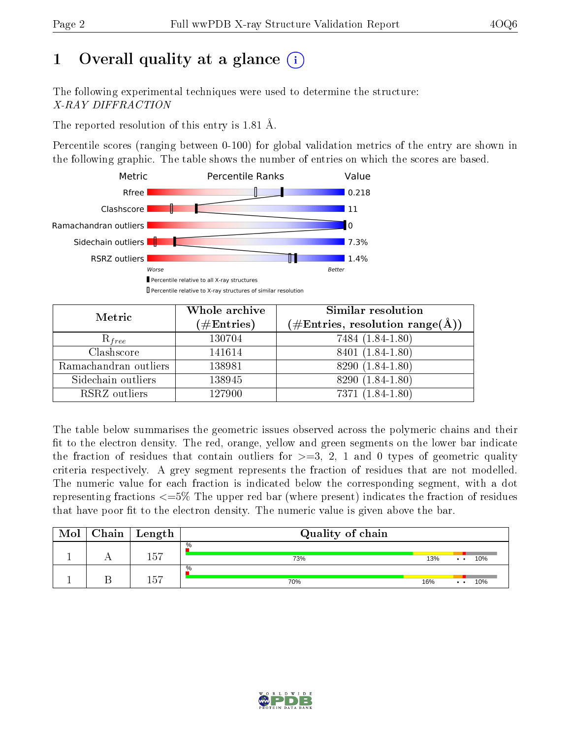# 1 [O](https://www.wwpdb.org/validation/2017/XrayValidationReportHelp#overall_quality)verall quality at a glance  $(i)$

The following experimental techniques were used to determine the structure: X-RAY DIFFRACTION

The reported resolution of this entry is 1.81 Å.

Percentile scores (ranging between 0-100) for global validation metrics of the entry are shown in the following graphic. The table shows the number of entries on which the scores are based.



| Metric                | Whole archive<br>$(\#\text{Entries})$ | Similar resolution<br>$(\#\text{Entries},\,\text{resolution}\,\,\text{range}(\textup{\AA}))$ |  |  |
|-----------------------|---------------------------------------|----------------------------------------------------------------------------------------------|--|--|
| $R_{free}$            | 130704                                | 7484 (1.84-1.80)                                                                             |  |  |
| Clashscore            | 141614                                | 8401 (1.84-1.80)                                                                             |  |  |
| Ramachandran outliers | 138981                                | 8290 (1.84-1.80)                                                                             |  |  |
| Sidechain outliers    | 138945                                | 8290 (1.84-1.80)                                                                             |  |  |
| RSRZ outliers         | 127900                                | $7371(1.84-1.80)$                                                                            |  |  |

The table below summarises the geometric issues observed across the polymeric chains and their fit to the electron density. The red, orange, yellow and green segments on the lower bar indicate the fraction of residues that contain outliers for  $>=3, 2, 1$  and 0 types of geometric quality criteria respectively. A grey segment represents the fraction of residues that are not modelled. The numeric value for each fraction is indicated below the corresponding segment, with a dot representing fractions <=5% The upper red bar (where present) indicates the fraction of residues that have poor fit to the electron density. The numeric value is given above the bar.

| Mol | ${\rm Chain \mid Length}$ | Quality of chain |     |                            |     |  |  |
|-----|---------------------------|------------------|-----|----------------------------|-----|--|--|
|     | 157                       | $\%$<br>73%      | 13% | $\bullet\quad\bullet\quad$ | 10% |  |  |
|     | 157                       | %<br>70%         | 16% | $\bullet\quad\bullet$      | 10% |  |  |

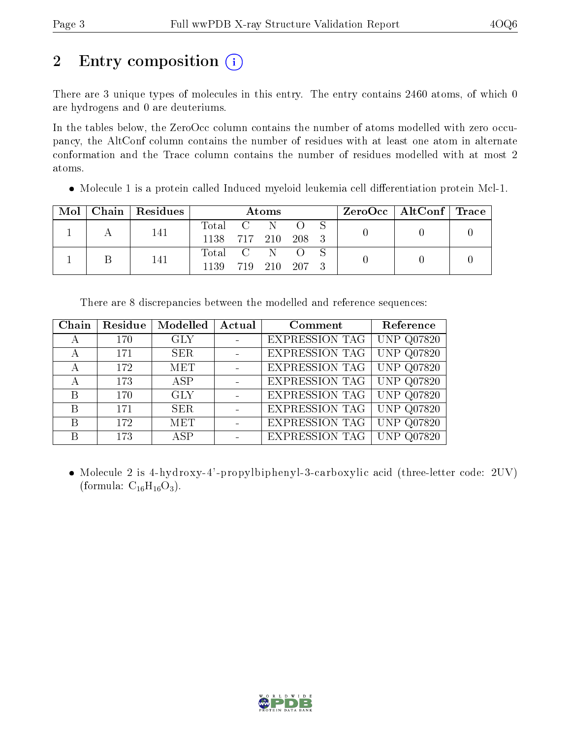# 2 Entry composition  $\left( \cdot \right)$

There are 3 unique types of molecules in this entry. The entry contains 2460 atoms, of which 0 are hydrogens and 0 are deuteriums.

In the tables below, the ZeroOcc column contains the number of atoms modelled with zero occupancy, the AltConf column contains the number of residues with at least one atom in alternate conformation and the Trace column contains the number of residues modelled with at most 2 atoms.

• Molecule 1 is a protein called Induced myeloid leukemia cell differentiation protein Mcl-1.

|  |  | $\text{Mol}$   Chain   Residues | Atoms              |  |  |  |  | $\text{ZeroOcc}$   AltConf   Trace |  |
|--|--|---------------------------------|--------------------|--|--|--|--|------------------------------------|--|
|  |  | 141                             | Total C N O        |  |  |  |  |                                    |  |
|  |  | 1138 717 210 208 3              |                    |  |  |  |  |                                    |  |
|  |  | 141                             | Total C N O S      |  |  |  |  |                                    |  |
|  |  |                                 | 1139 719 210 207 3 |  |  |  |  |                                    |  |

| Chain | Residue | Modelled   | Actual | Comment               | Reference         |
|-------|---------|------------|--------|-----------------------|-------------------|
| А     | 170     | <b>GLY</b> |        | <b>EXPRESSION TAG</b> | <b>UNP Q07820</b> |
| А     | 171     | <b>SER</b> |        | <b>EXPRESSION TAG</b> | <b>UNP Q07820</b> |
| А     | 172     | <b>MET</b> |        | <b>EXPRESSION TAG</b> | <b>UNP Q07820</b> |
| А     | 173     | ASP        |        | <b>EXPRESSION TAG</b> | <b>UNP Q07820</b> |
| B     | 170     | <b>GLY</b> |        | <b>EXPRESSION TAG</b> | <b>UNP Q07820</b> |
| B     | 171     | <b>SER</b> |        | <b>EXPRESSION TAG</b> | <b>UNP Q07820</b> |
| B     | 172     | <b>MET</b> |        | EXPRESSION TAG        | <b>UNP Q07820</b> |
| B     | 173     | ASP        |        | <b>EXPRESSION TAG</b> | UNP<br>Q07820     |

There are 8 discrepancies between the modelled and reference sequences:

• Molecule 2 is 4-hydroxy-4'-propylbiphenyl-3-carboxylic acid (three-letter code: 2UV) (formula:  $C_{16}H_{16}O_3$ ).

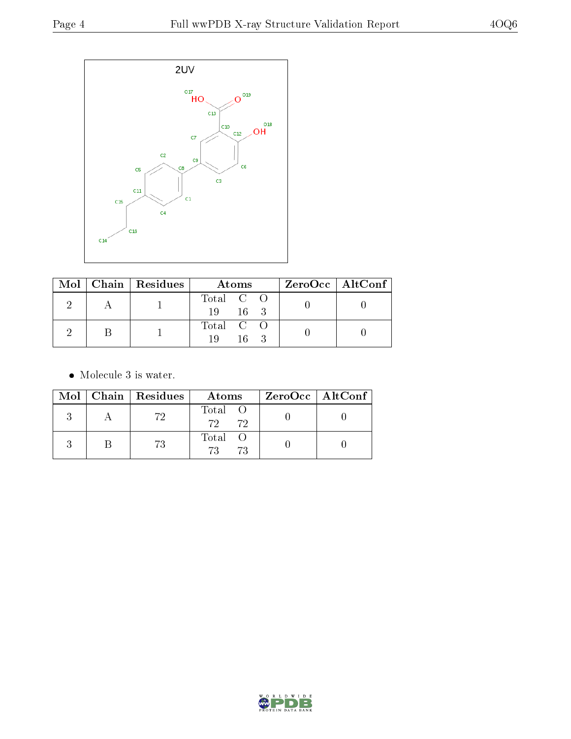

|  | $\text{Mol}$   Chain   Residues | Atoms                           | $\rm ZeroOcc \mid AltConf \mid$ |
|--|---------------------------------|---------------------------------|---------------------------------|
|  |                                 | Total C O<br>$16 \quad 3$<br>19 |                                 |
|  |                                 | Total C O<br>$16 -$<br>10       |                                 |

• Molecule 3 is water.

|  | Mol   Chain   Residues | Atoms                | ZeroOcc   AltConf |
|--|------------------------|----------------------|-------------------|
|  | 72                     | Total O<br>72 72     |                   |
|  |                        | Total O<br>72<br>-73 |                   |

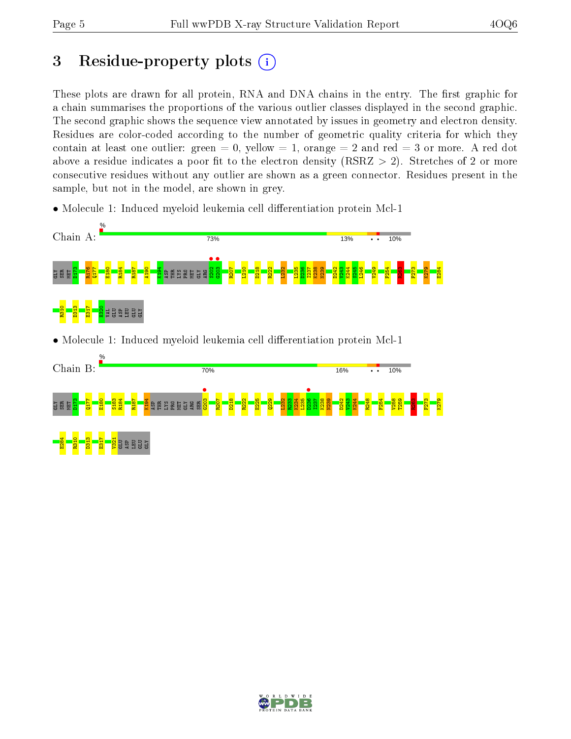# 3 Residue-property plots  $(i)$

These plots are drawn for all protein, RNA and DNA chains in the entry. The first graphic for a chain summarises the proportions of the various outlier classes displayed in the second graphic. The second graphic shows the sequence view annotated by issues in geometry and electron density. Residues are color-coded according to the number of geometric quality criteria for which they contain at least one outlier: green  $= 0$ , yellow  $= 1$ , orange  $= 2$  and red  $= 3$  or more. A red dot above a residue indicates a poor fit to the electron density (RSRZ  $> 2$ ). Stretches of 2 or more consecutive residues without any outlier are shown as a green connector. Residues present in the sample, but not in the model, are shown in grey.

• Molecule 1: Induced myeloid leukemia cell differentiation protein Mcl-1



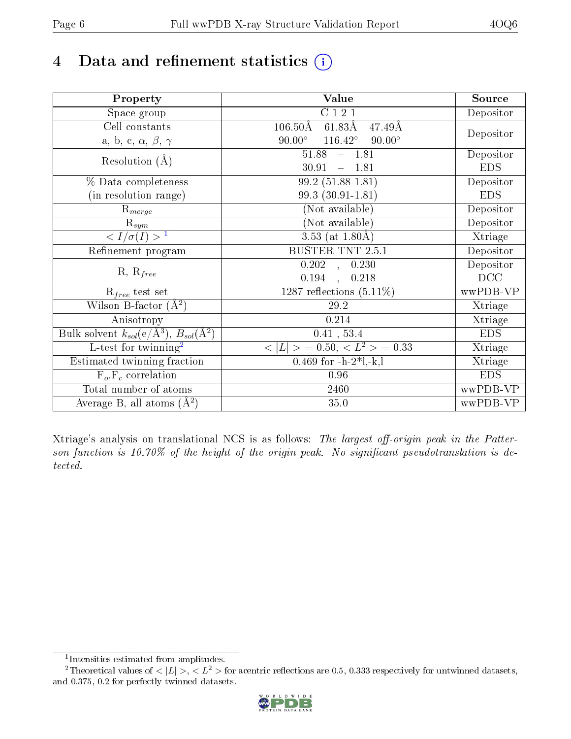# 4 Data and refinement statistics  $(i)$

| Property                                                         | Value                                              | Source     |
|------------------------------------------------------------------|----------------------------------------------------|------------|
| $\overline{\text{Space}}$ group                                  | C121                                               | Depositor  |
| $\operatorname{Cell}$ constants                                  | $106.50\rm\AA$<br>$61.83\text{\AA}$<br>47.49Å      |            |
| a, b, c, $\alpha$ , $\beta$ , $\gamma$                           | $90.00^\circ$<br>$116.42^{\circ}$<br>$90.00^\circ$ | Depositor  |
| Resolution $(A)$                                                 | 51.88<br>$-1.81$                                   | Depositor  |
|                                                                  | 30.91<br>$-1.81$                                   | <b>EDS</b> |
| % Data completeness                                              | $\overline{99.2}$ (51.88-1.81)                     | Depositor  |
| (in resolution range)                                            | 99.3 (30.91-1.81)                                  | <b>EDS</b> |
| $R_{merge}$                                                      | (Not available)                                    | Depositor  |
| $\mathrm{R}_{sym}$                                               | (Not available)                                    | Depositor  |
| $\overline{1$                                                    | 3.53 (at $1.80\text{\AA}$ )                        | Xtriage    |
| Refinement program                                               | <b>BUSTER-TNT 2.5.1</b>                            | Depositor  |
|                                                                  | $\overline{0.202}$ ,<br>0.230                      | Depositor  |
| $R, R_{free}$                                                    | 0.194,<br>0.218                                    | DCC        |
| $R_{free}$ test set                                              | 1287 reflections $(5.11\%)$                        | wwPDB-VP   |
| Wilson B-factor $(A^2)$                                          | 29.2                                               | Xtriage    |
| Anisotropy                                                       | 0.214                                              | Xtriage    |
| Bulk solvent $k_{sol}(\text{e}/\text{A}^3), B_{sol}(\text{A}^2)$ | 0.41, 53.4                                         | <b>EDS</b> |
| $L$ -test for twinning <sup>2</sup>                              | $< L >$ = 0.50, $< L2$ > = 0.33                    | Xtriage    |
| Estimated twinning fraction                                      | 0.469 for $-h-2*1,-k,l$                            | Xtriage    |
| $F_o, F_c$ correlation                                           | 0.96                                               | <b>EDS</b> |
| Total number of atoms                                            | 2460                                               | wwPDB-VP   |
| Average B, all atoms $(A^2)$                                     | 35.0                                               | wwPDB-VP   |

Xtriage's analysis on translational NCS is as follows: The largest off-origin peak in the Patterson function is 10.70% of the height of the origin peak. No significant pseudotranslation is detected.

<sup>&</sup>lt;sup>2</sup>Theoretical values of  $\langle |L| \rangle$ ,  $\langle L^2 \rangle$  for acentric reflections are 0.5, 0.333 respectively for untwinned datasets, and 0.375, 0.2 for perfectly twinned datasets.



<span id="page-5-1"></span><span id="page-5-0"></span><sup>1</sup> Intensities estimated from amplitudes.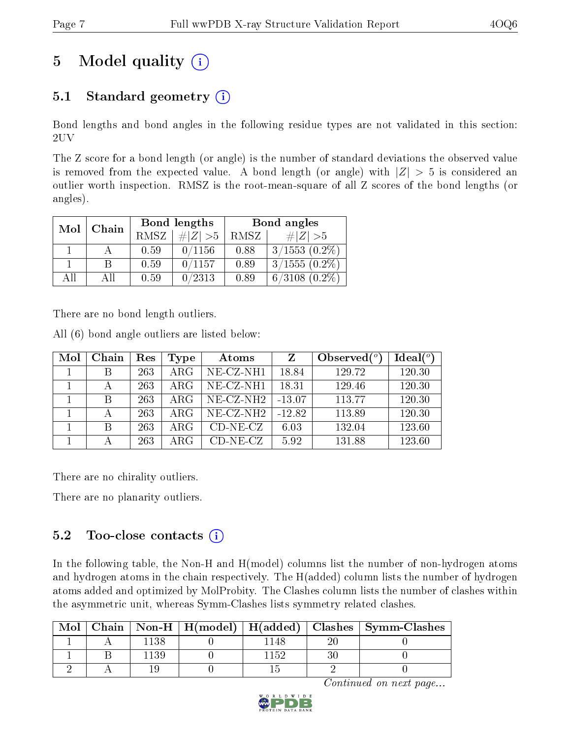# 5 Model quality  $(i)$

# 5.1 Standard geometry  $(i)$

Bond lengths and bond angles in the following residue types are not validated in this section: 2UV

The Z score for a bond length (or angle) is the number of standard deviations the observed value is removed from the expected value. A bond length (or angle) with  $|Z| > 5$  is considered an outlier worth inspection. RMSZ is the root-mean-square of all Z scores of the bond lengths (or angles).

| Mol | Chain |             | Bond lengths | Bond angles |                    |  |
|-----|-------|-------------|--------------|-------------|--------------------|--|
|     |       | <b>RMSZ</b> | $\ Z\  > 5$  | RMSZ        | # $ Z  > 5$        |  |
|     |       | 0.59        | 0/1156       | 0.88        | $3/1553$ $(0.2\%)$ |  |
|     | B     | 0.59        | 0/1157       | 0.89        | $3/1555(0.2\%)$    |  |
| AĦ  | АH    | 0.59        | 0/2313       | 0.89        | $6/3108$ $(0.2\%)$ |  |

There are no bond length outliers.

All (6) bond angle outliers are listed below:

| Mol | Chain        | Res | Type       | Atoms        | $\mathbf{Z}$ | Observed $(°)$ | Ideal $(°)$ |
|-----|--------------|-----|------------|--------------|--------------|----------------|-------------|
|     |              | 263 | ARG        | NE-CZ-NH1    | 18.84        | 129.72         | 120.30      |
|     |              | 263 | $\rm{ARG}$ | NE-CZ-NH1    | 18.31        | 129.46         | 120.30      |
|     | <sup>B</sup> | 263 | ARG        | $NE- CZ-NH2$ | $-13.07$     | 113.77         | 120.30      |
|     |              | 263 | ARG        | $NE-CZ-NH2$  | $-12.82$     | 113.89         | 120.30      |
|     | <sup>B</sup> | 263 | $\rm{ARG}$ | $CD-NE- CZ$  | 6.03         | 132.04         | 123.60      |
|     |              | 263 | ARG        | $CD-NE- CZ$  | 5.92         | 131.88         | 123.60      |

There are no chirality outliers.

There are no planarity outliers.

### 5.2 Too-close contacts (i)

In the following table, the Non-H and H(model) columns list the number of non-hydrogen atoms and hydrogen atoms in the chain respectively. The H(added) column lists the number of hydrogen atoms added and optimized by MolProbity. The Clashes column lists the number of clashes within the asymmetric unit, whereas Symm-Clashes lists symmetry related clashes.

| Mol |      |     | Chain   Non-H   H(model)   H(added)   Clashes   Symm-Clashes |
|-----|------|-----|--------------------------------------------------------------|
|     | -138 | 48  |                                                              |
|     |      | 152 |                                                              |
|     |      |     |                                                              |

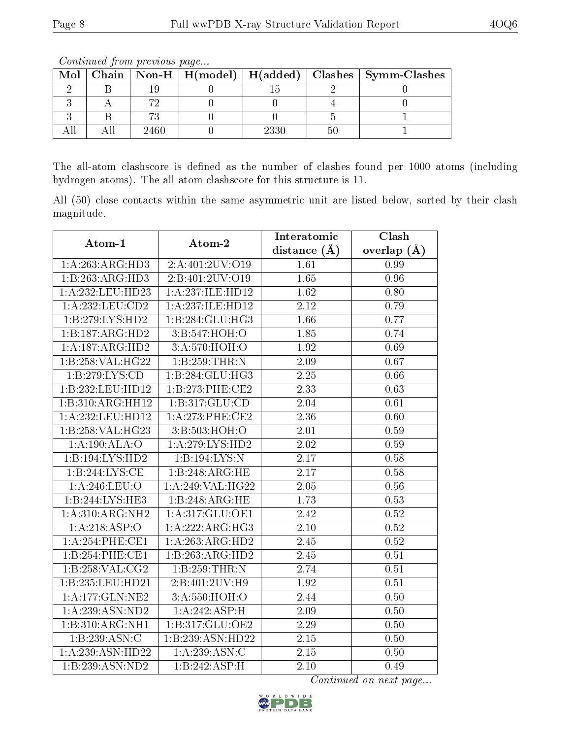| Mol |      |     | Chain   Non-H   H(model)   H(added)   Clashes   Symm-Clashes |
|-----|------|-----|--------------------------------------------------------------|
|     |      |     |                                                              |
|     |      |     |                                                              |
|     |      |     |                                                              |
|     | 2460 | 230 |                                                              |

Continued from previous page...

The all-atom clashscore is defined as the number of clashes found per 1000 atoms (including hydrogen atoms). The all-atom clashscore for this structure is 11.

All (50) close contacts within the same asymmetric unit are listed below, sorted by their clash magnitude.

| Atom-1             | Atom-2           | Interatomic       | Clash           |  |
|--------------------|------------------|-------------------|-----------------|--|
|                    |                  | distance $(A)$    | overlap $(\AA)$ |  |
| 1:A:263:ARG:HD3    | 2:A:401:2UV:O19  | 1.61              | 0.99            |  |
| 1:B:263:ARG:HD3    | 2:B:401:2UV:O19  | 1.65              | 0.96            |  |
| 1:A:232:LEU:HD23   | 1:A:237:ILE:HD12 | 1.62              | 0.80            |  |
| 1:A:232:LEU:CD2    | 1:A:237:ILE:HD12 | 2.12              | 0.79            |  |
| 1:B:279:LYS:HD2    | 1:B:284:GLU:HG3  | 1.66              | 0.77            |  |
| 1:B:187:ARG:HD2    | 3:B:547:HOH:O    | 1.85              | 0.74            |  |
| 1:A:187:ARG:HD2    | 3:A:570:HOH:O    | 1.92              | 0.69            |  |
| 1:B:258:VAL:HG22   | 1:B:259:THR:N    | 2.09              | 0.67            |  |
| 1:B:279:LYS:CD     | 1:B:284:GLU:HG3  | 2.25              | 0.66            |  |
| 1:B:232:LEU:HD12   | 1:B:273:PHE:CE2  | 2.33              | 0.63            |  |
| 1:B:310:ARG:HH12   | 1:B:317:GLU:CD   | 2.04              | 0.61            |  |
| 1:A:232:LEU:HD12   | 1: A:273:PHE:CE2 | 2.36              | 0.60            |  |
| 1:B:258:VAL:HG23   | 3:B:503:HOH:O    | $\overline{2.01}$ | 0.59            |  |
| 1:A:190:ALA:O      | 1:A:279:LYS:HD2  | 2.02              | 0.59            |  |
| $1:$ B:194:LYS:HD2 | 1:B:194:LYS:N    | 2.17              | 0.58            |  |
| 1:B:244:LYS:CE     | 1:B:248:ARG:HE   | $\overline{2.17}$ | 0.58            |  |
| 1:A:246:LEU:O      | 1:A:249:VAL:HG22 | 2.05              | $0.56\,$        |  |
| 1:B:244:LYS:HE3    | 1:B:248:ARG:HE   | 1.73              | 0.53            |  |
| 1: A:310:ARG:NH2   | 1:A:317:GLU:OE1  | 2.42              | 0.52            |  |
| 1:A:218:ASP:O      | 1:A:222:ARG:HG3  | 2.10              | 0.52            |  |
| 1: A:254:PHE:CE1   | 1:A:263:ARG:HD2  | 2.45              | 0.52            |  |
| 1:B:254:PHE:CE1    | 1:B:263:ARG:HD2  | 2.45              | 0.51            |  |
| 1:B:258:VAL:CG2    | 1:B:259:THR:N    | 2.74              | 0.51            |  |
| 1:B:235:LEU:HD21   | 2:B:401:2UV:H9   | 1.92              | 0.51            |  |
| 1:A:177:GLN:NE2    | 3:A:550:HOH:O    | 2.44              | 0.50            |  |
| 1:A:239:ASN:ND2    | 1:A:242:ASP:H    | 2.09              | 0.50            |  |
| 1:B:310:ARG:NH1    | 1:B:317:GLU:OE2  | 2.29              | 0.50            |  |
| 1:B:239:ASN:C      | 1:B:239:ASN:HD22 | $2.15\,$          | 0.50            |  |
| 1:A:239:ASN:HD22   | 1:A:239:ASN:C    | 2.15              | 0.50            |  |
| 1:B:239:ASN:ND2    | 1:B:242:ASP:H    | 2.10              | 0.49            |  |

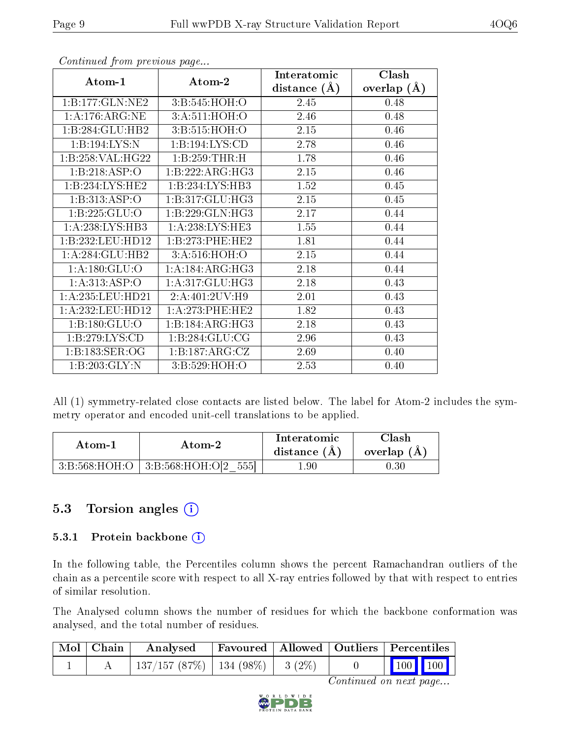| Atom-1             | Atom-2              | Interatomic    | Clash          |
|--------------------|---------------------|----------------|----------------|
|                    |                     | distance $(A)$ | overlap<br>(A) |
| 1:B:177:GLN:NE2    | 3: B:545: HOH:O     | 2.45           | 0.48           |
| 1: A:176: ARG: NE  | 3:A:511:HOH:O       | 2.46           | 0.48           |
| 1:B:284:GLU:HB2    | 3:B:515:HOH:O       | 2.15           | 0.46           |
| 1:B:194:LYS:N      | 1: B: 194: LYS: CD  | 2.78           | 0.46           |
| 1:B:258:VAL:H G22  | 1:B:259:THR:H       | 1.78           | 0.46           |
| 1:B:218:ASP:O      | 1:B:222:ARG:HG3     | 2.15           | 0.46           |
| 1:B:234:LYS:HE2    | 1:B:234:LYS:HB3     | 1.52           | 0.45           |
| 1:B:313:ASP:O      | 1:B:317:GLU:HG3     | 2.15           | 0.45           |
| 1:B:225:GLU:O      | 1:B:229:GLN:HG3     | 2.17           | 0.44           |
| 1:A:238:LYS:HB3    | 1: A:238:LYS:HE3    | 1.55           | 0.44           |
| 1:B:232:LEU:HD12   | 1:B:273:PHE:HE2     | 1.81           | 0.44           |
| 1:A:284:GLU:HB2    | 3: A:516:HOH:O      | 2.15           | 0.44           |
| 1: A: 180: GLU:O   | 1: A: 184: ARG: HG3 | 2.18           | 0.44           |
| 1:A:313:ASP:O      | 1:A:317:GLU:HG3     | 2.18           | 0.43           |
| 1:A:235:LEU:HD21   | 2:A:401:2UV:H9      | 2.01           | 0.43           |
| 1:A:232:LEU:HD12   | 1:A:273:PHE:HE2     | 1.82           | 0.43           |
| 1:B:180:GLU:O      | 1:B:184:ARG:HG3     | 2.18           | 0.43           |
| 1:B:279:LYS:CD     | 1:B:284:GLU:CG      | 2.96           | 0.43           |
| 1: B: 183: SER: OG | 1:B:187:ARG:CZ      | 2.69           | 0.40           |
| 1:B:203:GLY:N      | 3:B:529:HOH:O       | 2.53           | 0.40           |

Continued from previous page...

All (1) symmetry-related close contacts are listed below. The label for Atom-2 includes the symmetry operator and encoded unit-cell translations to be applied.

| Atom-1 |                                            | Interatomic    | Clash         |
|--------|--------------------------------------------|----------------|---------------|
| Atom-2 |                                            | distance $(A)$ | overlap $(A)$ |
|        | $3:B:568:HOH:O$   $3:B:568:HOH:O[2$<br>555 | 1.90           |               |

### 5.3 Torsion angles (i)

#### 5.3.1 Protein backbone (i)

In the following table, the Percentiles column shows the percent Ramachandran outliers of the chain as a percentile score with respect to all X-ray entries followed by that with respect to entries of similar resolution.

The Analysed column shows the number of residues for which the backbone conformation was analysed, and the total number of residues.

| $\mid$ Mol $\mid$ Chain $\mid$ | Analysed                                |  | Favoured   Allowed   Outliers   Percentiles                  |
|--------------------------------|-----------------------------------------|--|--------------------------------------------------------------|
|                                | $137/157$ (87\%)   134 (98\%)   3 (2\%) |  | $\begin{array}{ c c c c c }\n\hline\n100 & 100\n\end{array}$ |

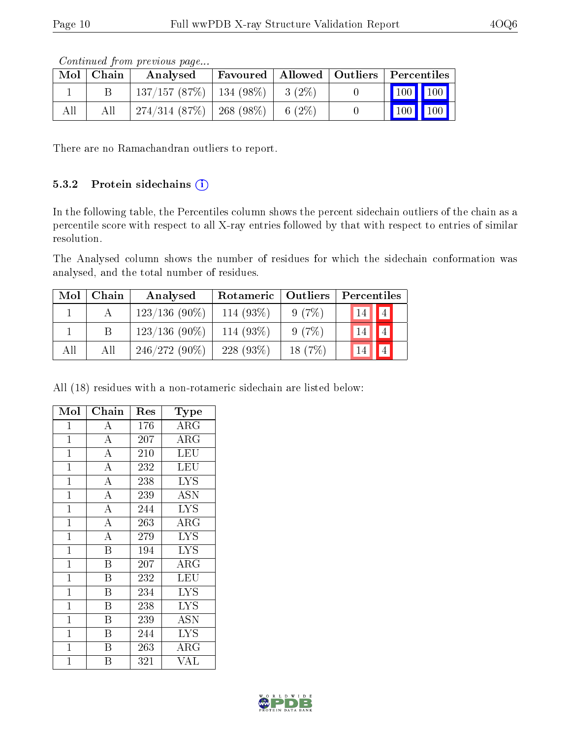|     | Contractor from providuo pugo |                                         |  |  |  |                                                                          |  |  |  |  |  |  |
|-----|-------------------------------|-----------------------------------------|--|--|--|--------------------------------------------------------------------------|--|--|--|--|--|--|
|     | $Mol$   Chain                 | Analysed                                |  |  |  | $\mid$ Favoured $\mid$ Allowed $\mid$ Outliers $\mid$ Percentiles $\mid$ |  |  |  |  |  |  |
|     |                               | $137/157$ (87\%)   134 (98\%)   3 (2\%) |  |  |  | 100 100                                                                  |  |  |  |  |  |  |
| All | All                           | $274/314$ (87\%)   268 (98\%)   6 (2\%) |  |  |  | $\mid$ 100 $\mid$ 100 $\mid$                                             |  |  |  |  |  |  |

Continued from previous page.

There are no Ramachandran outliers to report.

#### 5.3.2 Protein sidechains  $(i)$

In the following table, the Percentiles column shows the percent sidechain outliers of the chain as a percentile score with respect to all X-ray entries followed by that with respect to entries of similar resolution.

The Analysed column shows the number of residues for which the sidechain conformation was analysed, and the total number of residues.

| Mol | Chain | Analysed        | Rotameric   Outliers |           | Percentiles          |
|-----|-------|-----------------|----------------------|-----------|----------------------|
|     |       | $123/136(90\%)$ | 114 $(93\%)$         | 9(7%)     | $\boxed{4}$<br> 14   |
|     |       | $123/136(90\%)$ | 114 (93%)            | 9(7%)     | $\overline{4}$<br>14 |
| All | All   | $246/272(90\%)$ | 228 $(93\%)$         | 18 $(7%)$ | 14                   |

All (18) residues with a non-rotameric sidechain are listed below:

| Mol            | Chain                   | Res | Type                       |
|----------------|-------------------------|-----|----------------------------|
| $\mathbf{1}$   | $\bf{A}$                | 176 | $\overline{\rm{A}}\rm{RG}$ |
| $\mathbf{1}$   | $\overline{A}$          | 207 | $\rm{ARG}$                 |
| $\overline{1}$ | $\overline{\rm A}$      | 210 | <b>LEU</b>                 |
| $\overline{1}$ | $\overline{A}$          | 232 | LEU                        |
| $\mathbf{1}$   | $\overline{\rm A}$      | 238 | <b>LYS</b>                 |
| $\mathbf{1}$   | $\overline{A}$          | 239 | <b>ASN</b>                 |
| $\mathbf{1}$   | $\overline{\rm A}$      | 244 | <b>LYS</b>                 |
| $\overline{1}$ | $\overline{A}$          | 263 | ARG                        |
| $\mathbf{1}$   | $\overline{A}$          | 279 | <b>LYS</b>                 |
| $\mathbf{1}$   | $\overline{\mathrm{B}}$ | 194 | <b>LYS</b>                 |
| $\mathbf{1}$   | $\overline{B}$          | 207 | ARG                        |
| $\mathbf{1}$   | B                       | 232 | LEU                        |
| $\mathbf{1}$   | B                       | 234 | <b>LYS</b>                 |
| $\mathbf{1}$   | B                       | 238 | <b>LYS</b>                 |
| $\mathbf{1}$   | B                       | 239 | <b>ASN</b>                 |
| $\mathbf 1$    | $\overline{B}$          | 244 | <b>LYS</b>                 |
| $\mathbf 1$    | Β                       | 263 | $\rm{ARG}$                 |
| $\mathbf 1$    | B                       | 321 | VAL                        |

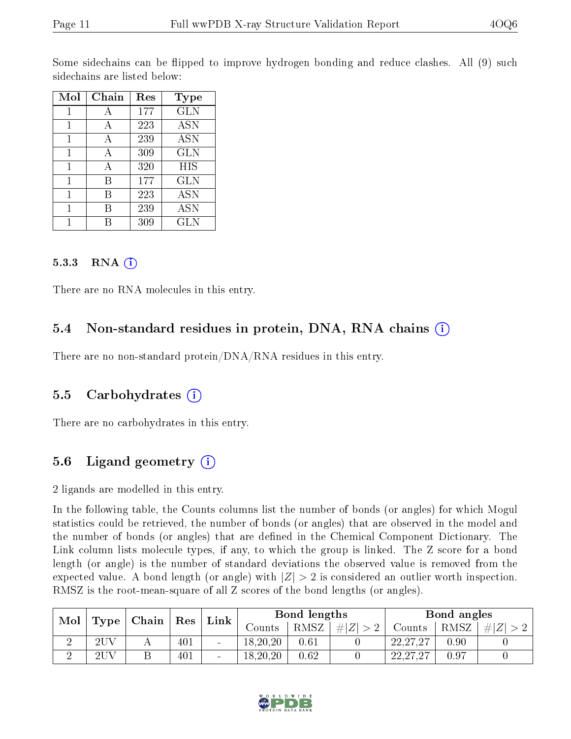Some sidechains can be flipped to improve hydrogen bonding and reduce clashes. All (9) such sidechains are listed below:

| Mol | Chain | Res | <b>Type</b>       |
|-----|-------|-----|-------------------|
| 1   | А     | 177 | <b>GLN</b>        |
| 1   | А     | 223 | <b>ASN</b>        |
| 1   | А     | 239 | <b>ASN</b>        |
| 1   | А     | 309 | GLN               |
| 1   | А     | 320 | HIS               |
| 1   | В     | 177 | GLN               |
| 1   | R     | 223 | $\overline{A}$ SN |
| 1   | R     | 239 | <b>ASN</b>        |
|     |       | 309 | GLN               |

#### $5.3.3$  RNA  $(i)$

There are no RNA molecules in this entry.

### 5.4 Non-standard residues in protein, DNA, RNA chains  $(i)$

There are no non-standard protein/DNA/RNA residues in this entry.

#### 5.5 Carbohydrates (i)

There are no carbohydrates in this entry.

### 5.6 Ligand geometry  $(i)$

2 ligands are modelled in this entry.

In the following table, the Counts columns list the number of bonds (or angles) for which Mogul statistics could be retrieved, the number of bonds (or angles) that are observed in the model and the number of bonds (or angles) that are defined in the Chemical Component Dictionary. The Link column lists molecule types, if any, to which the group is linked. The Z score for a bond length (or angle) is the number of standard deviations the observed value is removed from the expected value. A bond length (or angle) with  $|Z| > 2$  is considered an outlier worth inspection. RMSZ is the root-mean-square of all Z scores of the bond lengths (or angles).

| Mol | $ $ Chain $ $ Res<br>Type <sub>1</sub> |  | $^+$ Link | Bond lengths |          |      | Bond angles |            |      |        |
|-----|----------------------------------------|--|-----------|--------------|----------|------|-------------|------------|------|--------|
|     |                                        |  |           |              | Counts-  | RMSZ | # $ Z  > 2$ | Counts     | RMSZ | Z<br># |
|     | 2UV                                    |  | 401       |              | 18,20,20 | 0.61 |             | 22, 27, 27 | 0.90 |        |
|     | 2UV                                    |  | 401       |              | 18,20,20 | 0.62 |             | 22,27,27   | 0.97 |        |

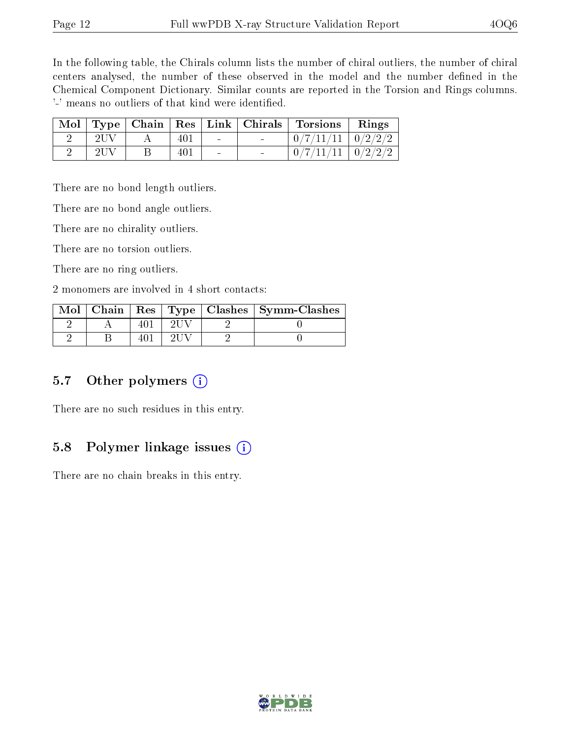In the following table, the Chirals column lists the number of chiral outliers, the number of chiral centers analysed, the number of these observed in the model and the number defined in the Chemical Component Dictionary. Similar counts are reported in the Torsion and Rings columns. '-' means no outliers of that kind were identified.

|     |     | Mol   Type   Chain   Res   Link   Chirals | $\mid$ Torsions $\mid$  | Rings |
|-----|-----|-------------------------------------------|-------------------------|-------|
|     | 401 | $\blacksquare$                            | $0/7/11/11$   $0/2/2/2$ |       |
| 2UV | 401 | $\equiv$                                  | $0/7/11/11$   $0/2/2/2$ |       |

There are no bond length outliers.

There are no bond angle outliers.

There are no chirality outliers.

There are no torsion outliers.

There are no ring outliers.

2 monomers are involved in 4 short contacts:

|  |  | Mol   Chain   Res   Type   Clashes   Symm-Clashes |
|--|--|---------------------------------------------------|
|  |  |                                                   |
|  |  |                                                   |

#### 5.7 [O](https://www.wwpdb.org/validation/2017/XrayValidationReportHelp#nonstandard_residues_and_ligands)ther polymers (i)

There are no such residues in this entry.

### 5.8 Polymer linkage issues  $(i)$

There are no chain breaks in this entry.

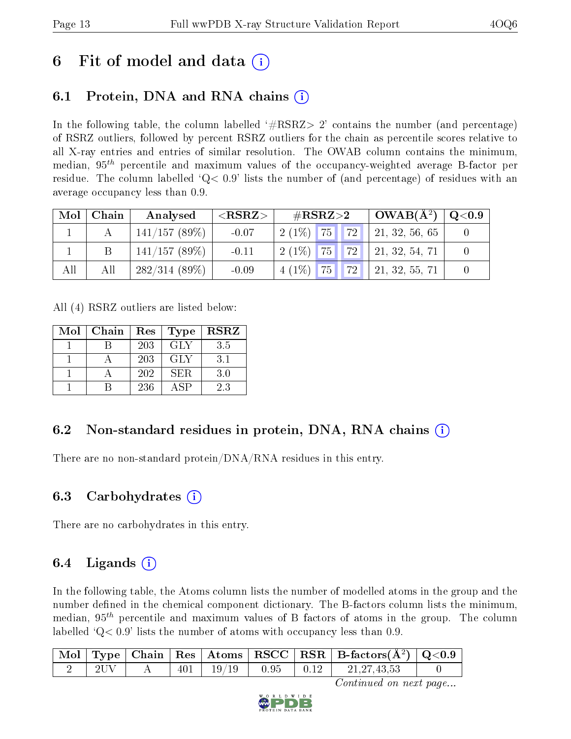# 6 Fit of model and data  $\left( \cdot \right)$

# 6.1 Protein, DNA and RNA chains (i)

In the following table, the column labelled  $#RSRZ>2'$  contains the number (and percentage) of RSRZ outliers, followed by percent RSRZ outliers for the chain as percentile scores relative to all X-ray entries and entries of similar resolution. The OWAB column contains the minimum, median,  $95<sup>th</sup>$  percentile and maximum values of the occupancy-weighted average B-factor per residue. The column labelled  $Q< 0.9$  lists the number of (and percentage) of residues with an average occupancy less than 0.9.

| Mol | Chain | Analysed        | ${ <\hspace{-1.5pt}{\mathrm{RSRZ}} \hspace{-1.5pt}>}$ | $\#\text{RSRZ}{>}2$   |           | $OWAB(A^2)$        | $\rm Q\textcolor{black}{<}0.9$ |
|-----|-------|-----------------|-------------------------------------------------------|-----------------------|-----------|--------------------|--------------------------------|
|     |       | 141/157(89%)    | $-0.07$                                               | 75<br>$2(1\%)$        | 72        | 21, 32, 56, 65     |                                |
|     |       | 141/157(89%)    | $-0.11$                                               | <b>75</b><br>$2(1\%)$ | $ 72 $ 1  | 21, 32, 54, 71     |                                |
| All | All   | $282/314(89\%)$ | $-0.09$                                               | 75<br>$4(1\%)$        | <b>72</b> | $'$ 21, 32, 55, 71 |                                |

All (4) RSRZ outliers are listed below:

| Mol | Chain | Res | <b>Type</b> | $_{\rm RSRZ}$ |
|-----|-------|-----|-------------|---------------|
|     |       | 203 | <b>GLY</b>  | 3.5           |
|     |       | 203 | <b>GLY</b>  | 3.1           |
|     |       | 202 | SER.        | 3.0           |
|     |       | 236 | ASP         | 2.3           |

# 6.2 Non-standard residues in protein, DNA, RNA chains (i)

There are no non-standard protein/DNA/RNA residues in this entry.

### 6.3 Carbohydrates (i)

There are no carbohydrates in this entry.

### $6.4$  Ligands  $(i)$

In the following table, the Atoms column lists the number of modelled atoms in the group and the number defined in the chemical component dictionary. The B-factors column lists the minimum, median,  $95<sup>th</sup>$  percentile and maximum values of B factors of atoms in the group. The column labelled  $Q< 0.9$  lists the number of atoms with occupancy less than 0.9.

|  |  |                                   |  | $\vert$ Mol $\vert$ Type $\vert$ Chain $\vert$ Res $\vert$ Atoms $\vert$ RSCC $\vert$ RSR $\vert$ B-factors(A <sup>2</sup> ) $\vert$ Q<0.9 |  |
|--|--|-----------------------------------|--|--------------------------------------------------------------------------------------------------------------------------------------------|--|
|  |  | $401$   $19/19$   $0.95$   $0.12$ |  | $\frac{1}{21.27.43.53}$                                                                                                                    |  |